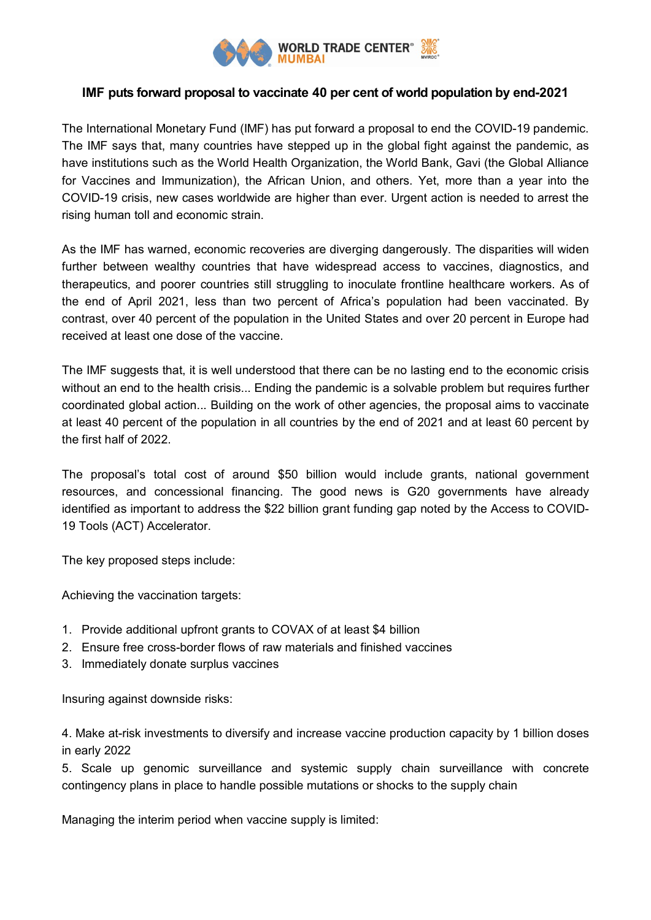

## **IMF puts forward proposal to vaccinate 40 per cent of world population by end-2021**

The International Monetary Fund (IMF) has put forward a proposal to end the COVID-19 pandemic. The IMF says that, many countries have stepped up in the global fight against the pandemic, as have institutions such as the World Health Organization, the World Bank, Gavi (the Global Alliance for Vaccines and Immunization), the African Union, and others. Yet, more than a year into the COVID-19 crisis, new cases worldwide are higher than ever. Urgent action is needed to arrest the rising human toll and economic strain.

As the IMF has warned, economic recoveries are diverging dangerously. The disparities will widen further between wealthy countries that have widespread access to vaccines, diagnostics, and therapeutics, and poorer countries still struggling to inoculate frontline healthcare workers. As of the end of April 2021, less than two percent of Africa's population had been vaccinated. By contrast, over 40 percent of the population in the United States and over 20 percent in Europe had received at least one dose of the vaccine.

The IMF suggests that, it is well understood that there can be no lasting end to the economic crisis without an end to the health crisis... Ending the pandemic is a solvable problem but requires further coordinated global action... Building on the work of other agencies, the proposal aims to vaccinate at least 40 percent of the population in all countries by the end of 2021 and at least 60 percent by the first half of 2022.

The proposal's total cost of around \$50 billion would include grants, national government resources, and concessional financing. The good news is G20 governments have already identified as important to address the \$22 billion grant funding gap noted by the Access to COVID-19 Tools (ACT) Accelerator.

The key proposed steps include:

Achieving the vaccination targets:

- 1. Provide additional upfront grants to COVAX of at least \$4 billion
- 2. Ensure free cross-border flows of raw materials and finished vaccines
- 3. Immediately donate surplus vaccines

Insuring against downside risks:

4. Make at-risk investments to diversify and increase vaccine production capacity by 1 billion doses in early 2022

5. Scale up genomic surveillance and systemic supply chain surveillance with concrete contingency plans in place to handle possible mutations or shocks to the supply chain

Managing the interim period when vaccine supply is limited: